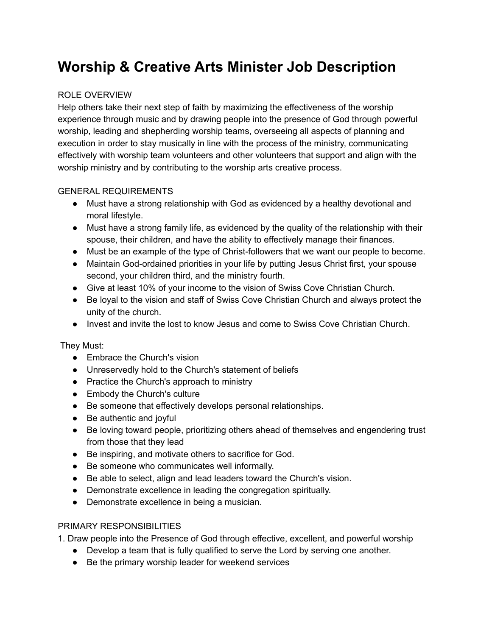# **Worship & Creative Arts Minister Job Description**

### ROLE OVERVIEW

Help others take their next step of faith by maximizing the effectiveness of the worship experience through music and by drawing people into the presence of God through powerful worship, leading and shepherding worship teams, overseeing all aspects of planning and execution in order to stay musically in line with the process of the ministry, communicating effectively with worship team volunteers and other volunteers that support and align with the worship ministry and by contributing to the worship arts creative process.

#### GENERAL REQUIREMENTS

- Must have a strong relationship with God as evidenced by a healthy devotional and moral lifestyle.
- Must have a strong family life, as evidenced by the quality of the relationship with their spouse, their children, and have the ability to effectively manage their finances.
- Must be an example of the type of Christ-followers that we want our people to become.
- Maintain God-ordained priorities in your life by putting Jesus Christ first, your spouse second, your children third, and the ministry fourth.
- Give at least 10% of your income to the vision of Swiss Cove Christian Church.
- Be loyal to the vision and staff of Swiss Cove Christian Church and always protect the unity of the church.
- Invest and invite the lost to know Jesus and come to Swiss Cove Christian Church.

## They Must:

- Embrace the Church's vision
- Unreservedly hold to the Church's statement of beliefs
- Practice the Church's approach to ministry
- Embody the Church's culture
- Be someone that effectively develops personal relationships.
- Be authentic and joyful
- Be loving toward people, prioritizing others ahead of themselves and engendering trust from those that they lead
- Be inspiring, and motivate others to sacrifice for God.
- Be someone who communicates well informally.
- Be able to select, align and lead leaders toward the Church's vision.
- Demonstrate excellence in leading the congregation spiritually.
- Demonstrate excellence in being a musician.

## PRIMARY RESPONSIBILITIES

1. Draw people into the Presence of God through effective, excellent, and powerful worship

- Develop a team that is fully qualified to serve the Lord by serving one another.
- Be the primary worship leader for weekend services